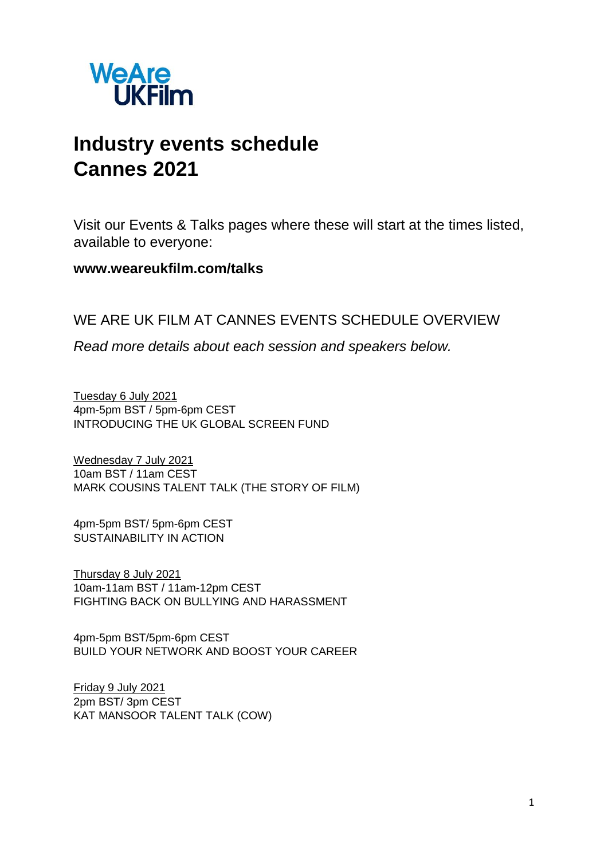

# **Industry events schedule Cannes 2021**

Visit our Events & Talks pages where these will start at the times listed, available to everyone:

# **www.weareukfilm.com/talks**

# WE ARE UK FILM AT CANNES EVENTS SCHEDULE OVERVIEW

*Read more details about each session and speakers below.*

Tuesday 6 July 2021 4pm-5pm BST / 5pm-6pm CEST INTRODUCING THE UK GLOBAL SCREEN FUND

Wednesday 7 July 2021 10am BST / 11am CEST MARK COUSINS TALENT TALK (THE STORY OF FILM)

4pm-5pm BST/ 5pm-6pm CEST SUSTAINABILITY IN ACTION

Thursday 8 July 2021 10am-11am BST / 11am-12pm CEST FIGHTING BACK ON BULLYING AND HARASSMENT

4pm-5pm BST/5pm-6pm CEST BUILD YOUR NETWORK AND BOOST YOUR CAREER

Friday 9 July 2021 2pm BST/ 3pm CEST KAT MANSOOR TALENT TALK (COW)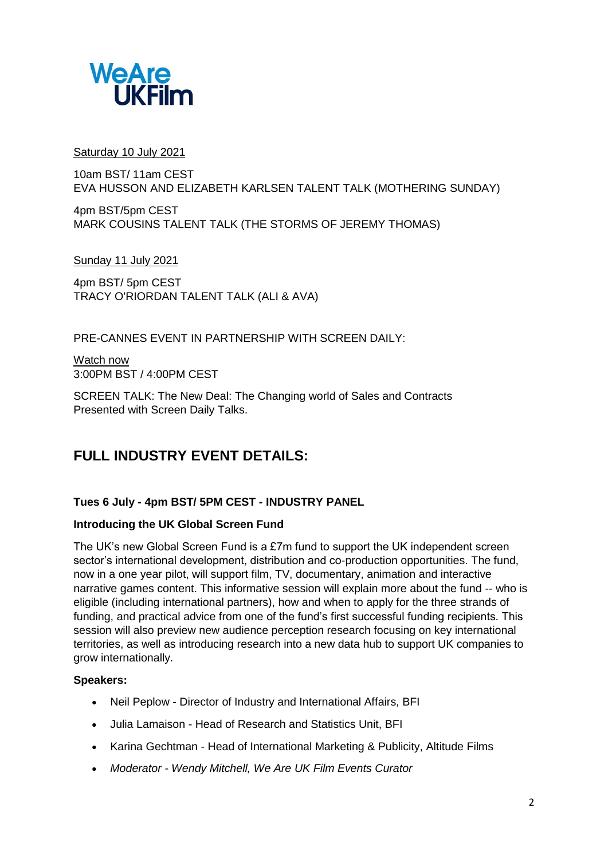

Saturday 10 July 2021

10am BST/ 11am CEST EVA HUSSON AND ELIZABETH KARLSEN TALENT TALK (MOTHERING SUNDAY)

4pm BST/5pm CEST MARK COUSINS TALENT TALK (THE STORMS OF JEREMY THOMAS)

Sunday 11 July 2021

4pm BST/ 5pm CEST TRACY O'RIORDAN TALENT TALK (ALI & AVA)

PRE-CANNES EVENT IN PARTNERSHIP WITH SCREEN DAILY:

Watch now 3:00PM BST / 4:00PM CEST

SCREEN TALK: The New Deal: The Changing world of Sales and Contracts Presented with Screen Daily Talks.

# **FULL INDUSTRY EVENT DETAILS:**

# **Tues 6 July - 4pm BST/ 5PM CEST - INDUSTRY PANEL**

# **Introducing the UK Global Screen Fund**

The UK's new Global Screen Fund is a £7m fund to support the UK independent screen sector's international development, distribution and co-production opportunities. The fund, now in a one year pilot, will support film, TV, documentary, animation and interactive narrative games content. This informative session will explain more about the fund -- who is eligible (including international partners), how and when to apply for the three strands of funding, and practical advice from one of the fund's first successful funding recipients. This session will also preview new audience perception research focusing on key international territories, as well as introducing research into a new data hub to support UK companies to grow internationally.

# **Speakers:**

- Neil Peplow Director of Industry and International Affairs, BFI
- Julia Lamaison Head of Research and Statistics Unit, BFI
- Karina Gechtman Head of International Marketing & Publicity, Altitude Films
- *Moderator - Wendy Mitchell, We Are UK Film Events Curator*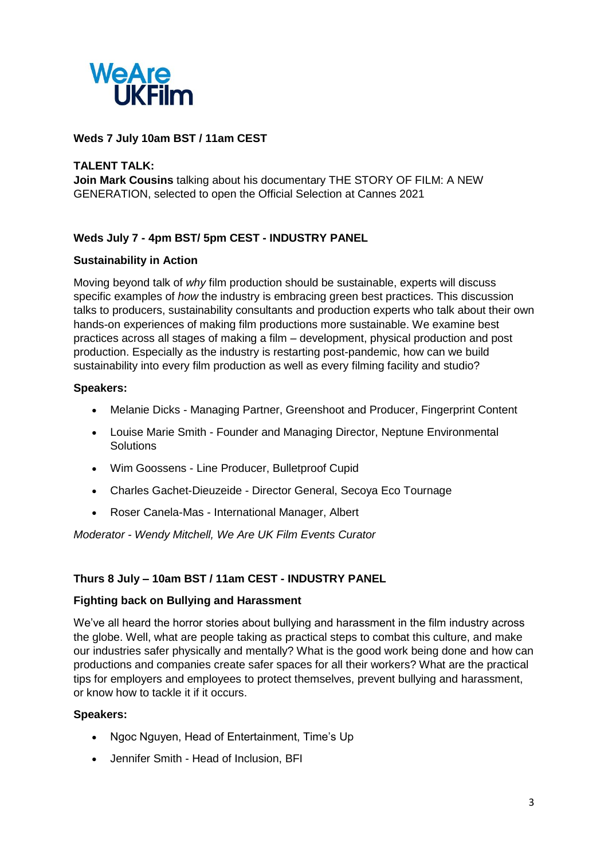

# **Weds 7 July 10am BST / 11am CEST**

# **TALENT TALK:**

**Join Mark Cousins** talking about his documentary THE STORY OF FILM: A NEW GENERATION, selected to open the Official Selection at Cannes 2021

# **Weds July 7 - 4pm BST/ 5pm CEST - INDUSTRY PANEL**

# **Sustainability in Action**

Moving beyond talk of *why* film production should be sustainable, experts will discuss specific examples of *how* the industry is embracing green best practices. This discussion talks to producers, sustainability consultants and production experts who talk about their own hands-on experiences of making film productions more sustainable. We examine best practices across all stages of making a film – development, physical production and post production. Especially as the industry is restarting post-pandemic, how can we build sustainability into every film production as well as every filming facility and studio?

# **Speakers:**

- Melanie Dicks Managing Partner, Greenshoot and Producer, Fingerprint Content
- Louise Marie Smith Founder and Managing Director, Neptune Environmental **Solutions**
- Wim Goossens Line Producer, Bulletproof Cupid
- Charles Gachet-Dieuzeide Director General, Secoya Eco Tournage
- Roser Canela-Mas International Manager, Albert

*Moderator - Wendy Mitchell, We Are UK Film Events Curator*

# **Thurs 8 July – 10am BST / 11am CEST - INDUSTRY PANEL**

#### **Fighting back on Bullying and Harassment**

We've all heard the horror stories about bullying and harassment in the film industry across the globe. Well, what are people taking as practical steps to combat this culture, and make our industries safer physically and mentally? What is the good work being done and how can productions and companies create safer spaces for all their workers? What are the practical tips for employers and employees to protect themselves, prevent bullying and harassment, or know how to tackle it if it occurs.

# **Speakers:**

- Ngoc Nguyen, Head of Entertainment, Time's Up
- Jennifer Smith Head of Inclusion, BFI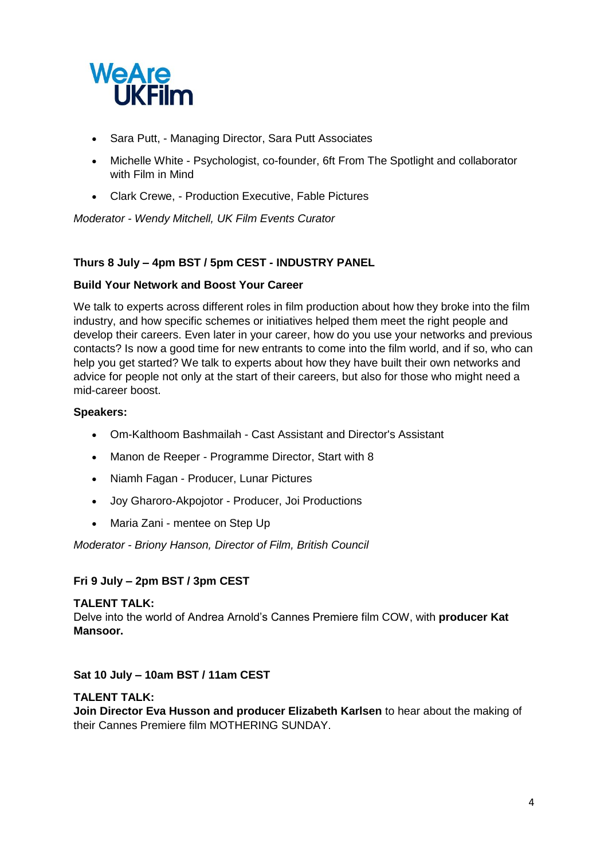

- Sara Putt, Managing Director, Sara Putt Associates
- Michelle White Psychologist, co-founder, 6ft From The Spotlight and collaborator with Film in Mind
- Clark Crewe, Production Executive, Fable Pictures

*Moderator - Wendy Mitchell, UK Film Events Curator*

# **Thurs 8 July – 4pm BST / 5pm CEST - INDUSTRY PANEL**

# **Build Your Network and Boost Your Career**

We talk to experts across different roles in film production about how they broke into the film industry, and how specific schemes or initiatives helped them meet the right people and develop their careers. Even later in your career, how do you use your networks and previous contacts? Is now a good time for new entrants to come into the film world, and if so, who can help you get started? We talk to experts about how they have built their own networks and advice for people not only at the start of their careers, but also for those who might need a mid-career boost.

#### **Speakers:**

- Om-Kalthoom Bashmailah Cast Assistant and Director's Assistant
- Manon de Reeper Programme Director, Start with 8
- Niamh Fagan Producer, Lunar Pictures
- Joy Gharoro-Akpojotor Producer, Joi Productions
- Maria Zani mentee on Step Up

#### *Moderator - Briony Hanson, Director of Film, British Council*

# **Fri 9 July – 2pm BST / 3pm CEST**

#### **TALENT TALK:**

Delve into the world of Andrea Arnold's Cannes Premiere film COW, with **producer Kat Mansoor.**

#### **Sat 10 July – 10am BST / 11am CEST**

#### **TALENT TALK:**

**Join Director Eva Husson and producer Elizabeth Karlsen** to hear about the making of their Cannes Premiere film MOTHERING SUNDAY.